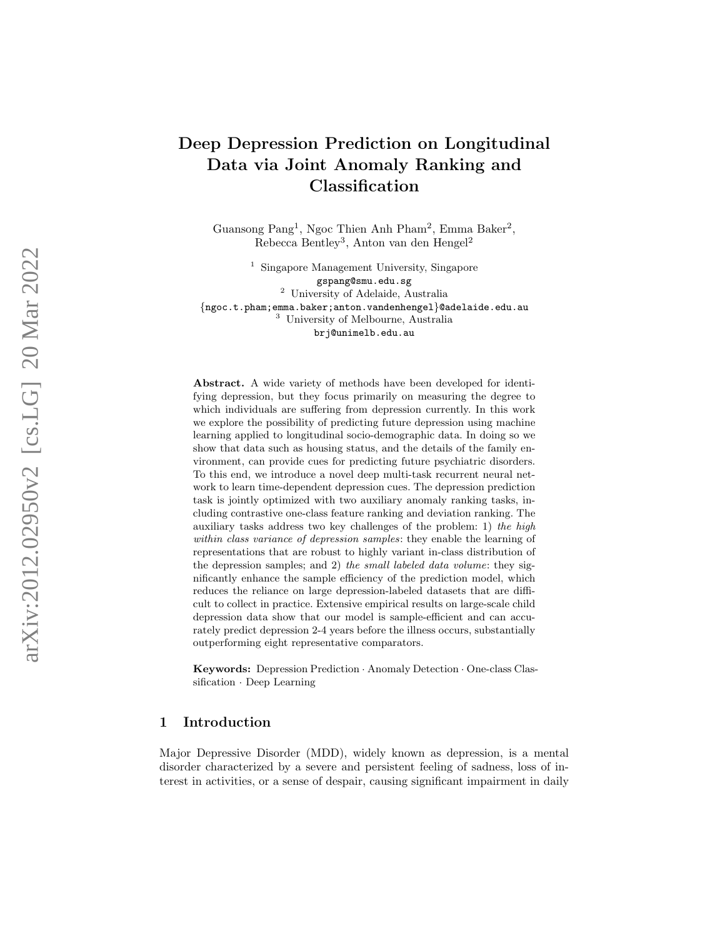# Deep Depression Prediction on Longitudinal Data via Joint Anomaly Ranking and Classification

Guansong Pang<sup>1</sup>, Ngoc Thien Anh Pham<sup>2</sup>, Emma Baker<sup>2</sup>, Rebecca Bentley 3 , Anton van den Hengel 2

<sup>1</sup> Singapore Management University, Singapore gspang@smu.edu.sg <sup>2</sup> University of Adelaide, Australia {ngoc.t.pham;emma.baker;anton.vandenhengel }@adelaide.edu.au <sup>3</sup> University of Melbourne, Australia brj@unimelb.edu.au

Abstract. A wide variety of methods have been developed for identifying depression, but they focus primarily on measuring the degree to which individuals are suffering from depression currently. In this work we explore the possibility of predicting future depression using machine learning applied to longitudinal socio-demographic data. In doing so we show that data such as housing status, and the details of the family environment, can provide cues for predicting future psychiatric disorders. To this end, we introduce a novel deep multi-task recurrent neural network to learn time-dependent depression cues. The depression prediction task is jointly optimized with two auxiliary anomaly ranking tasks, including contrastive one-class feature ranking and deviation ranking. The auxiliary tasks address two key challenges of the problem: 1) the high within class variance of depression samples: they enable the learning of representations that are robust to highly variant in-class distribution of the depression samples; and 2) the small labeled data volume: they significantly enhance the sample efficiency of the prediction model, which reduces the reliance on large depression-labeled datasets that are difficult to collect in practice. Extensive empirical results on large-scale child depression data show that our model is sample-efficient and can accurately predict depression 2-4 years before the illness occurs, substantially outperforming eight representative comparators.

Keywords: Depression Prediction · Anomaly Detection · One-class Classification · Deep Learning

# 1 Introduction

Major Depressive Disorder (MDD), widely known as depression, is a mental disorder characterized by a severe and persistent feeling of sadness, loss of interest in activities, or a sense of despair, causing significant impairment in daily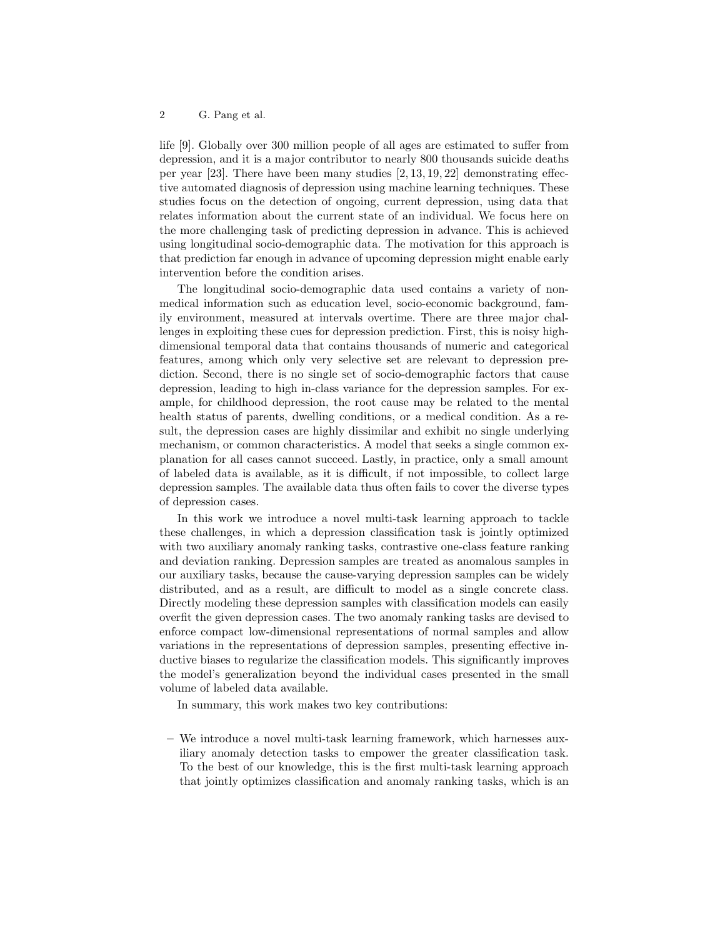life [\[9\]](#page-11-0). Globally over 300 million people of all ages are estimated to suffer from depression, and it is a major contributor to nearly 800 thousands suicide deaths per year [\[23\]](#page-12-0). There have been many studies [\[2,](#page-11-1) [13,](#page-11-2) [19,](#page-12-1) [22\]](#page-12-2) demonstrating effective automated diagnosis of depression using machine learning techniques. These studies focus on the detection of ongoing, current depression, using data that relates information about the current state of an individual. We focus here on the more challenging task of predicting depression in advance. This is achieved using longitudinal socio-demographic data. The motivation for this approach is that prediction far enough in advance of upcoming depression might enable early intervention before the condition arises.

The longitudinal socio-demographic data used contains a variety of nonmedical information such as education level, socio-economic background, family environment, measured at intervals overtime. There are three major challenges in exploiting these cues for depression prediction. First, this is noisy highdimensional temporal data that contains thousands of numeric and categorical features, among which only very selective set are relevant to depression prediction. Second, there is no single set of socio-demographic factors that cause depression, leading to high in-class variance for the depression samples. For example, for childhood depression, the root cause may be related to the mental health status of parents, dwelling conditions, or a medical condition. As a result, the depression cases are highly dissimilar and exhibit no single underlying mechanism, or common characteristics. A model that seeks a single common explanation for all cases cannot succeed. Lastly, in practice, only a small amount of labeled data is available, as it is difficult, if not impossible, to collect large depression samples. The available data thus often fails to cover the diverse types of depression cases.

In this work we introduce a novel multi-task learning approach to tackle these challenges, in which a depression classification task is jointly optimized with two auxiliary anomaly ranking tasks, contrastive one-class feature ranking and deviation ranking. Depression samples are treated as anomalous samples in our auxiliary tasks, because the cause-varying depression samples can be widely distributed, and as a result, are difficult to model as a single concrete class. Directly modeling these depression samples with classification models can easily overfit the given depression cases. The two anomaly ranking tasks are devised to enforce compact low-dimensional representations of normal samples and allow variations in the representations of depression samples, presenting effective inductive biases to regularize the classification models. This significantly improves the model's generalization beyond the individual cases presented in the small volume of labeled data available.

In summary, this work makes two key contributions:

– We introduce a novel multi-task learning framework, which harnesses auxiliary anomaly detection tasks to empower the greater classification task. To the best of our knowledge, this is the first multi-task learning approach that jointly optimizes classification and anomaly ranking tasks, which is an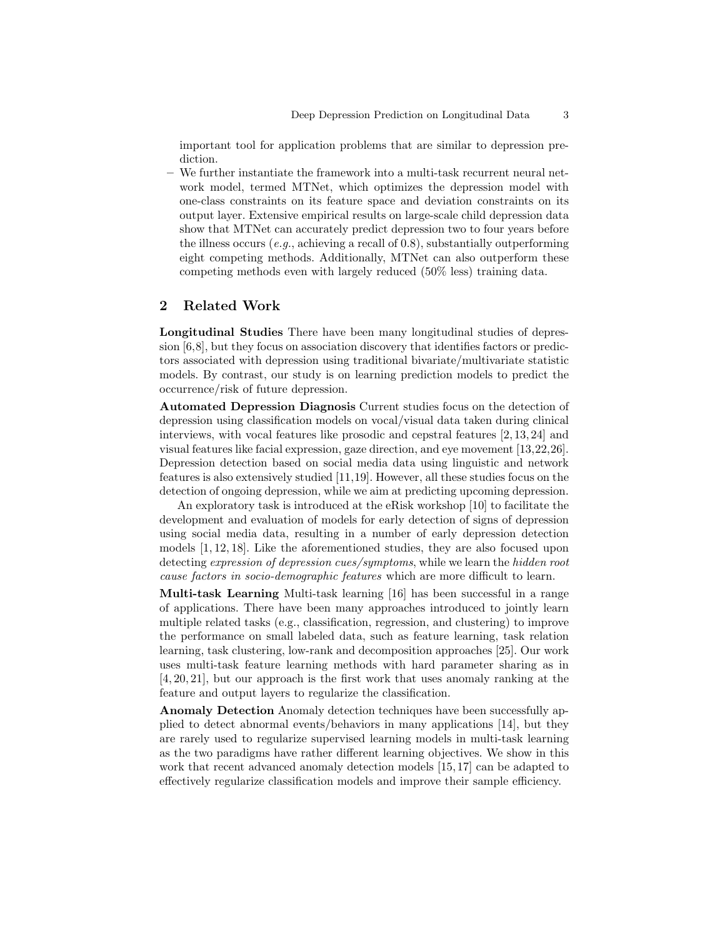important tool for application problems that are similar to depression prediction.

– We further instantiate the framework into a multi-task recurrent neural network model, termed MTNet, which optimizes the depression model with one-class constraints on its feature space and deviation constraints on its output layer. Extensive empirical results on large-scale child depression data show that MTNet can accurately predict depression two to four years before the illness occurs (e.g., achieving a recall of  $(0.8)$ , substantially outperforming eight competing methods. Additionally, MTNet can also outperform these competing methods even with largely reduced (50% less) training data.

# 2 Related Work

Longitudinal Studies There have been many longitudinal studies of depression [\[6,](#page-11-3)[8\]](#page-11-4), but they focus on association discovery that identifies factors or predictors associated with depression using traditional bivariate/multivariate statistic models. By contrast, our study is on learning prediction models to predict the occurrence/risk of future depression.

Automated Depression Diagnosis Current studies focus on the detection of depression using classification models on vocal/visual data taken during clinical interviews, with vocal features like prosodic and cepstral features [\[2,](#page-11-1) [13,](#page-11-2) [24\]](#page-12-3) and visual features like facial expression, gaze direction, and eye movement [\[13,](#page-11-2)[22,](#page-12-2)[26\]](#page-12-4). Depression detection based on social media data using linguistic and network features is also extensively studied [\[11,](#page-11-5)[19\]](#page-12-1). However, all these studies focus on the detection of ongoing depression, while we aim at predicting upcoming depression.

An exploratory task is introduced at the eRisk workshop [\[10\]](#page-11-6) to facilitate the development and evaluation of models for early detection of signs of depression using social media data, resulting in a number of early depression detection models [\[1,](#page-11-7) [12,](#page-11-8) [18\]](#page-12-5). Like the aforementioned studies, they are also focused upon detecting expression of depression cues/symptoms, while we learn the hidden root cause factors in socio-demographic features which are more difficult to learn.

Multi-task Learning Multi-task learning [\[16\]](#page-11-9) has been successful in a range of applications. There have been many approaches introduced to jointly learn multiple related tasks (e.g., classification, regression, and clustering) to improve the performance on small labeled data, such as feature learning, task relation learning, task clustering, low-rank and decomposition approaches [\[25\]](#page-12-6). Our work uses multi-task feature learning methods with hard parameter sharing as in [\[4,](#page-11-10) [20,](#page-12-7) [21\]](#page-12-8), but our approach is the first work that uses anomaly ranking at the feature and output layers to regularize the classification.

Anomaly Detection Anomaly detection techniques have been successfully applied to detect abnormal events/behaviors in many applications [\[14\]](#page-11-11), but they are rarely used to regularize supervised learning models in multi-task learning as the two paradigms have rather different learning objectives. We show in this work that recent advanced anomaly detection models [\[15,](#page-11-12) [17\]](#page-12-9) can be adapted to effectively regularize classification models and improve their sample efficiency.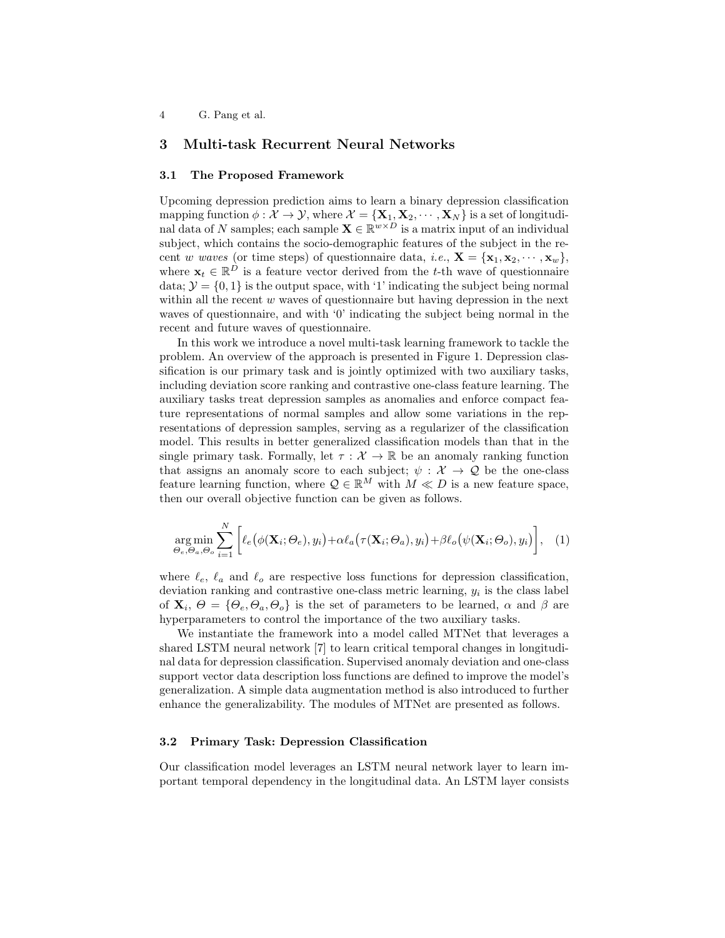# 3 Multi-task Recurrent Neural Networks

### 3.1 The Proposed Framework

Upcoming depression prediction aims to learn a binary depression classification mapping function  $\phi : \mathcal{X} \to \mathcal{Y}$ , where  $\mathcal{X} = {\mathbf{X}_1, \mathbf{X}_2, \cdots, \mathbf{X}_N}$  is a set of longitudinal data of N samples; each sample  $\mathbf{X} \in \mathbb{R}^{w \times D}$  is a matrix input of an individual subject, which contains the socio-demographic features of the subject in the recent w waves (or time steps) of questionnaire data, *i.e.*,  $\mathbf{X} = {\mathbf{x}_1, \mathbf{x}_2, \cdots, \mathbf{x}_w}$ , where  $\mathbf{x}_t \in \mathbb{R}^D$  is a feature vector derived from the t-th wave of questionnaire data;  $\mathcal{Y} = \{0, 1\}$  is the output space, with '1' indicating the subject being normal within all the recent  $w$  waves of questionnaire but having depression in the next waves of questionnaire, and with '0' indicating the subject being normal in the recent and future waves of questionnaire.

In this work we introduce a novel multi-task learning framework to tackle the problem. An overview of the approach is presented in Figure [1.](#page-4-0) Depression classification is our primary task and is jointly optimized with two auxiliary tasks, including deviation score ranking and contrastive one-class feature learning. The auxiliary tasks treat depression samples as anomalies and enforce compact feature representations of normal samples and allow some variations in the representations of depression samples, serving as a regularizer of the classification model. This results in better generalized classification models than that in the single primary task. Formally, let  $\tau : \mathcal{X} \to \mathbb{R}$  be an anomaly ranking function that assigns an anomaly score to each subject;  $\psi : \mathcal{X} \to \mathcal{Q}$  be the one-class feature learning function, where  $\mathcal{Q} \in \mathbb{R}^M$  with  $M \ll D$  is a new feature space, then our overall objective function can be given as follows.

$$
\underset{\Theta_e, \Theta_a, \Theta_o}{\arg \min} \sum_{i=1}^{N} \left[ \ell_e(\phi(\mathbf{X}_i; \Theta_e), y_i) + \alpha \ell_a(\tau(\mathbf{X}_i; \Theta_a), y_i) + \beta \ell_o(\psi(\mathbf{X}_i; \Theta_o), y_i) \right], \quad (1)
$$

where  $\ell_e$ ,  $\ell_a$  and  $\ell_o$  are respective loss functions for depression classification, deviation ranking and contrastive one-class metric learning,  $y_i$  is the class label of  $\mathbf{X}_i, \Theta = \{\Theta_e, \Theta_a, \Theta_o\}$  is the set of parameters to be learned,  $\alpha$  and  $\beta$  are hyperparameters to control the importance of the two auxiliary tasks.

We instantiate the framework into a model called MTNet that leverages a shared LSTM neural network [\[7\]](#page-11-13) to learn critical temporal changes in longitudinal data for depression classification. Supervised anomaly deviation and one-class support vector data description loss functions are defined to improve the model's generalization. A simple data augmentation method is also introduced to further enhance the generalizability. The modules of MTNet are presented as follows.

### 3.2 Primary Task: Depression Classification

Our classification model leverages an LSTM neural network layer to learn important temporal dependency in the longitudinal data. An LSTM layer consists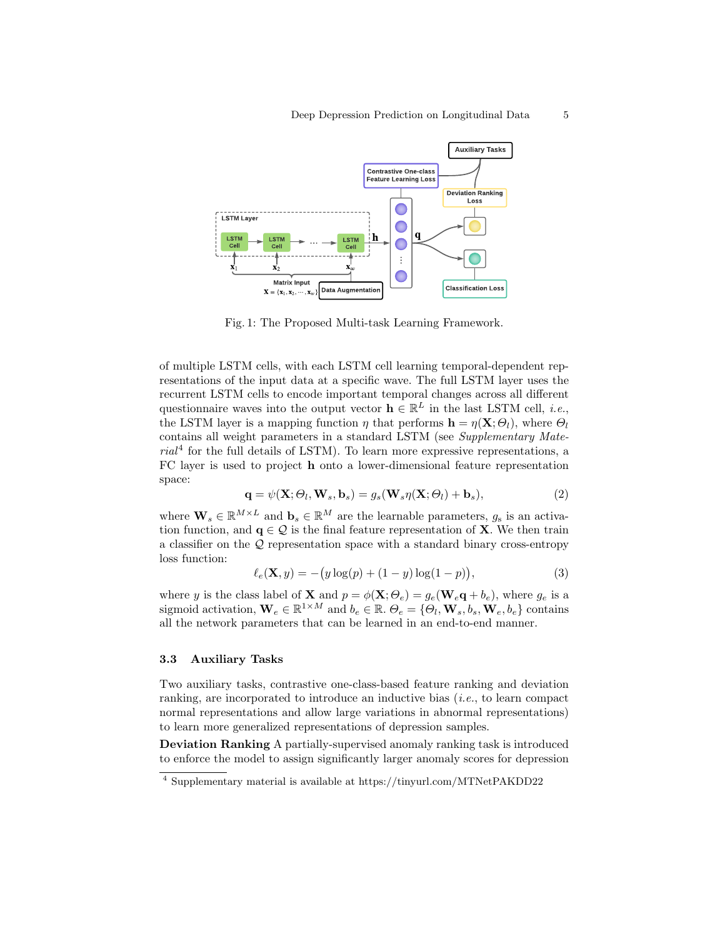<span id="page-4-0"></span>

Fig. 1: The Proposed Multi-task Learning Framework.

of multiple LSTM cells, with each LSTM cell learning temporal-dependent representations of the input data at a specific wave. The full LSTM layer uses the recurrent LSTM cells to encode important temporal changes across all different questionnaire waves into the output vector  $\mathbf{h} \in \mathbb{R}^L$  in the last LSTM cell, *i.e.*, the LSTM layer is a mapping function  $\eta$  that performs  $\mathbf{h} = \eta(\mathbf{X}; \Theta_l)$ , where  $\Theta_l$ contains all weight parameters in a standard LSTM (see Supplementary Mate- $rial<sup>4</sup>$  $rial<sup>4</sup>$  $rial<sup>4</sup>$  for the full details of LSTM). To learn more expressive representations, a FC layer is used to project h onto a lower-dimensional feature representation space:

$$
\mathbf{q} = \psi(\mathbf{X}; \Theta_l, \mathbf{W}_s, \mathbf{b}_s) = g_s(\mathbf{W}_s \eta(\mathbf{X}; \Theta_l) + \mathbf{b}_s),
$$
\n(2)

where  $\mathbf{W}_s \in \mathbb{R}^{M \times L}$  and  $\mathbf{b}_s \in \mathbb{R}^M$  are the learnable parameters,  $g_s$  is an activation function, and  $q \in \mathcal{Q}$  is the final feature representation of **X**. We then train a classifier on the Q representation space with a standard binary cross-entropy loss function:

$$
\ell_e(\mathbf{X}, y) = -(y \log(p) + (1 - y) \log(1 - p)),\tag{3}
$$

where y is the class label of **X** and  $p = \phi(\mathbf{X}; \Theta_e) = g_e(\mathbf{W}_e \mathbf{q} + b_e)$ , where  $g_e$  is a sigmoid activation,  $\mathbf{W}_e \in \mathbb{R}^{1 \times M}$  and  $b_e \in \mathbb{R}$ .  $\Theta_e = {\Theta_l, \mathbf{W}_s, b_s, \mathbf{W}_e, b_e}$  contains all the network parameters that can be learned in an end-to-end manner.

### 3.3 Auxiliary Tasks

Two auxiliary tasks, contrastive one-class-based feature ranking and deviation ranking, are incorporated to introduce an inductive bias (i.e., to learn compact normal representations and allow large variations in abnormal representations) to learn more generalized representations of depression samples.

Deviation Ranking A partially-supervised anomaly ranking task is introduced to enforce the model to assign significantly larger anomaly scores for depression

<span id="page-4-1"></span><sup>4</sup> Supplementary material is available at<https://tinyurl.com/MTNetPAKDD22>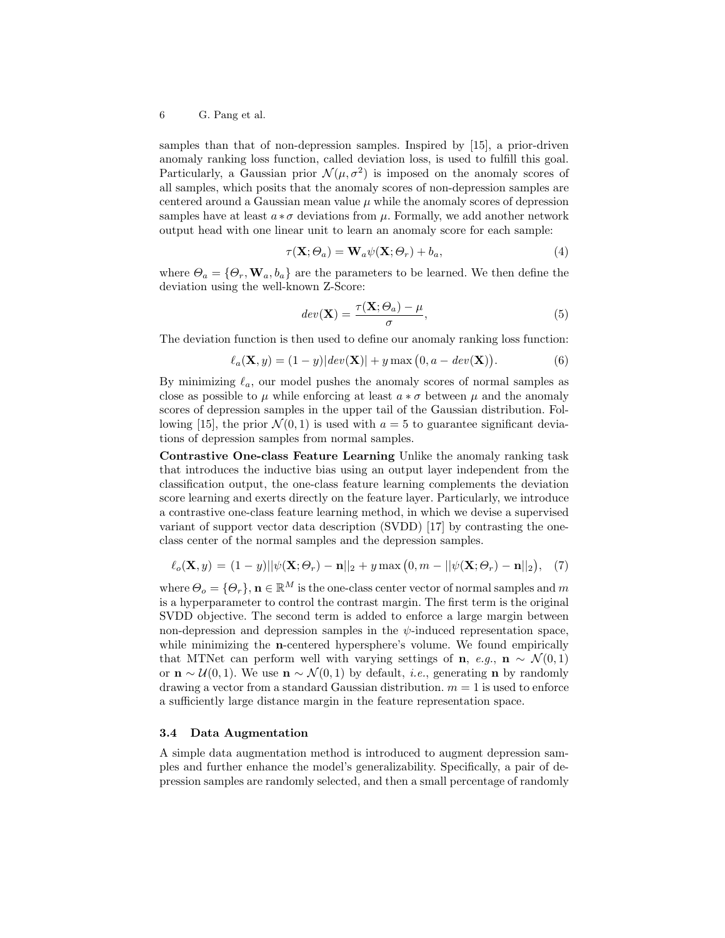samples than that of non-depression samples. Inspired by [\[15\]](#page-11-12), a prior-driven anomaly ranking loss function, called deviation loss, is used to fulfill this goal. Particularly, a Gaussian prior  $\mathcal{N}(\mu, \sigma^2)$  is imposed on the anomaly scores of all samples, which posits that the anomaly scores of non-depression samples are centered around a Gaussian mean value  $\mu$  while the anomaly scores of depression samples have at least  $a * \sigma$  deviations from  $\mu$ . Formally, we add another network output head with one linear unit to learn an anomaly score for each sample:

$$
\tau(\mathbf{X}; \Theta_a) = \mathbf{W}_a \psi(\mathbf{X}; \Theta_r) + b_a,\tag{4}
$$

where  $\Theta_a = {\Theta_r, \mathbf{W}_a, b_a}$  are the parameters to be learned. We then define the deviation using the well-known Z-Score:

$$
dev(\mathbf{X}) = \frac{\tau(\mathbf{X}; \Theta_a) - \mu}{\sigma},\tag{5}
$$

The deviation function is then used to define our anomaly ranking loss function:

$$
\ell_a(\mathbf{X}, y) = (1 - y)|dev(\mathbf{X})| + y \max(0, a - dev(\mathbf{X})).
$$
 (6)

By minimizing  $\ell_a$ , our model pushes the anomaly scores of normal samples as close as possible to  $\mu$  while enforcing at least  $a * \sigma$  between  $\mu$  and the anomaly scores of depression samples in the upper tail of the Gaussian distribution. Fol-lowing [\[15\]](#page-11-12), the prior  $\mathcal{N}(0,1)$  is used with  $a=5$  to guarantee significant deviations of depression samples from normal samples.

Contrastive One-class Feature Learning Unlike the anomaly ranking task that introduces the inductive bias using an output layer independent from the classification output, the one-class feature learning complements the deviation score learning and exerts directly on the feature layer. Particularly, we introduce a contrastive one-class feature learning method, in which we devise a supervised variant of support vector data description (SVDD) [\[17\]](#page-12-9) by contrasting the oneclass center of the normal samples and the depression samples.

$$
\ell_o(\mathbf{X}, y) = (1 - y) \|\psi(\mathbf{X}; \Theta_r) - \mathbf{n}\|_2 + y \max\big(0, m - ||\psi(\mathbf{X}; \Theta_r) - \mathbf{n}||_2\big), \tag{7}
$$

where  $\Theta_o = \{\Theta_r\}, \mathbf{n} \in \mathbb{R}^M$  is the one-class center vector of normal samples and m is a hyperparameter to control the contrast margin. The first term is the original SVDD objective. The second term is added to enforce a large margin between non-depression and depression samples in the  $\psi$ -induced representation space, while minimizing the **n**-centered hypersphere's volume. We found empirically that MTNet can perform well with varying settings of **n**, e.g.,  $\mathbf{n} \sim \mathcal{N}(0, 1)$ or  $\mathbf{n} \sim \mathcal{U}(0, 1)$ . We use  $\mathbf{n} \sim \mathcal{N}(0, 1)$  by default, *i.e.*, generating **n** by randomly drawing a vector from a standard Gaussian distribution.  $m = 1$  is used to enforce a sufficiently large distance margin in the feature representation space.

#### 3.4 Data Augmentation

A simple data augmentation method is introduced to augment depression samples and further enhance the model's generalizability. Specifically, a pair of depression samples are randomly selected, and then a small percentage of randomly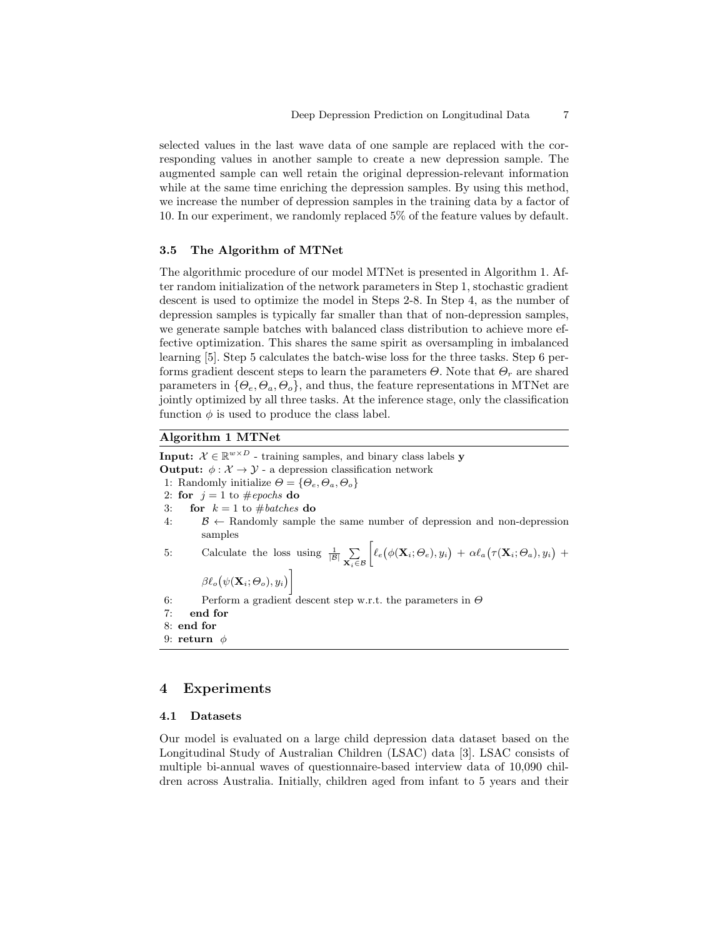selected values in the last wave data of one sample are replaced with the corresponding values in another sample to create a new depression sample. The augmented sample can well retain the original depression-relevant information while at the same time enriching the depression samples. By using this method, we increase the number of depression samples in the training data by a factor of 10. In our experiment, we randomly replaced 5% of the feature values by default.

### 3.5 The Algorithm of MTNet

The algorithmic procedure of our model MTNet is presented in Algorithm [1.](#page-6-0) After random initialization of the network parameters in Step 1, stochastic gradient descent is used to optimize the model in Steps 2-8. In Step 4, as the number of depression samples is typically far smaller than that of non-depression samples, we generate sample batches with balanced class distribution to achieve more effective optimization. This shares the same spirit as oversampling in imbalanced learning [\[5\]](#page-11-14). Step 5 calculates the batch-wise loss for the three tasks. Step 6 performs gradient descent steps to learn the parameters  $\Theta$ . Note that  $\Theta_r$  are shared parameters in  $\{\Theta_e, \Theta_a, \Theta_o\}$ , and thus, the feature representations in MTNet are jointly optimized by all three tasks. At the inference stage, only the classification function  $\phi$  is used to produce the class label.

# <span id="page-6-0"></span>Algorithm 1 MTNet

**Input:**  $\mathcal{X} \in \mathbb{R}^{w \times D}$  - training samples, and binary class labels **y Output:**  $\phi: \mathcal{X} \to \mathcal{Y}$  - a depression classification network

1: Randomly initialize  $\Theta = {\Theta_e, \Theta_a, \Theta_o}$ 

- 2: for  $j = 1$  to #epochs do
- 3: for  $k = 1$  to #batches do
- 4:  $\beta \leftarrow$  Randomly sample the same number of depression and non-depression samples

5: Calculate the loss using  $\frac{1}{|\mathcal{B}|} \sum_{\mathbf{X}_i \in \mathcal{B}} \left[ \ell_e(\phi(\mathbf{X}_i; \Theta_e), y_i) + \alpha \ell_a(\tau(\mathbf{X}_i; \Theta_a), y_i) + \right]$ 

$$
\beta\ell_o\big(\psi({\bf X}_i;\Theta_o),y_i\big)\bigg]
$$

- 6: Perform a gradient descent step w.r.t. the parameters in  $\Theta$
- 7: end for
- 8: end for
- 9: return  $\phi$

## 4 Experiments

### 4.1 Datasets

Our model is evaluated on a large child depression data dataset based on the Longitudinal Study of Australian Children (LSAC) data [\[3\]](#page-11-15). LSAC consists of multiple bi-annual waves of questionnaire-based interview data of 10,090 children across Australia. Initially, children aged from infant to 5 years and their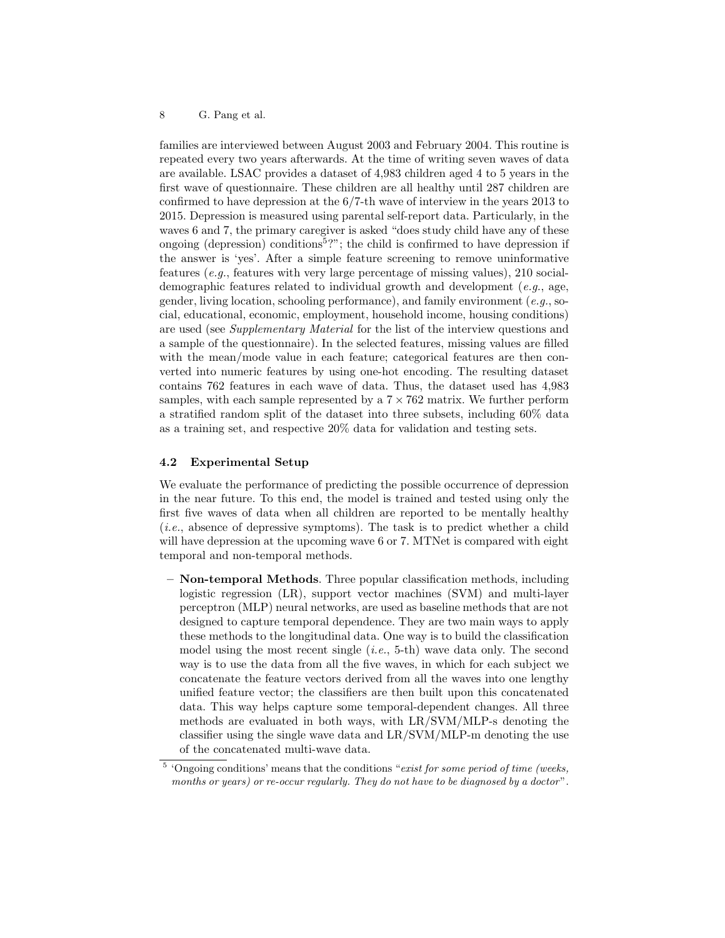families are interviewed between August 2003 and February 2004. This routine is repeated every two years afterwards. At the time of writing seven waves of data are available. LSAC provides a dataset of 4,983 children aged 4 to 5 years in the first wave of questionnaire. These children are all healthy until 287 children are confirmed to have depression at the 6/7-th wave of interview in the years 2013 to 2015. Depression is measured using parental self-report data. Particularly, in the waves 6 and 7, the primary caregiver is asked "does study child have any of these ongoing (depression) conditions<sup>[5](#page-7-0)</sup>?"; the child is confirmed to have depression if the answer is 'yes'. After a simple feature screening to remove uninformative features (e.g., features with very large percentage of missing values), 210 socialdemographic features related to individual growth and development (e.g., age, gender, living location, schooling performance), and family environment  $(e.g., so$ cial, educational, economic, employment, household income, housing conditions) are used (see Supplementary Material for the list of the interview questions and a sample of the questionnaire). In the selected features, missing values are filled with the mean/mode value in each feature; categorical features are then converted into numeric features by using one-hot encoding. The resulting dataset contains 762 features in each wave of data. Thus, the dataset used has 4,983 samples, with each sample represented by a  $7 \times 762$  matrix. We further perform a stratified random split of the dataset into three subsets, including 60% data as a training set, and respective 20% data for validation and testing sets.

### 4.2 Experimental Setup

We evaluate the performance of predicting the possible occurrence of depression in the near future. To this end, the model is trained and tested using only the first five waves of data when all children are reported to be mentally healthy (i.e., absence of depressive symptoms). The task is to predict whether a child will have depression at the upcoming wave 6 or 7. MTNet is compared with eight temporal and non-temporal methods.

– Non-temporal Methods. Three popular classification methods, including logistic regression (LR), support vector machines (SVM) and multi-layer perceptron (MLP) neural networks, are used as baseline methods that are not designed to capture temporal dependence. They are two main ways to apply these methods to the longitudinal data. One way is to build the classification model using the most recent single  $(i.e., 5-th)$  wave data only. The second way is to use the data from all the five waves, in which for each subject we concatenate the feature vectors derived from all the waves into one lengthy unified feature vector; the classifiers are then built upon this concatenated data. This way helps capture some temporal-dependent changes. All three methods are evaluated in both ways, with LR/SVM/MLP-s denoting the classifier using the single wave data and LR/SVM/MLP-m denoting the use of the concatenated multi-wave data.

<span id="page-7-0"></span> $5$  'Ongoing conditions' means that the conditions "exist for some period of time (weeks, months or years) or re-occur regularly. They do not have to be diagnosed by a doctor".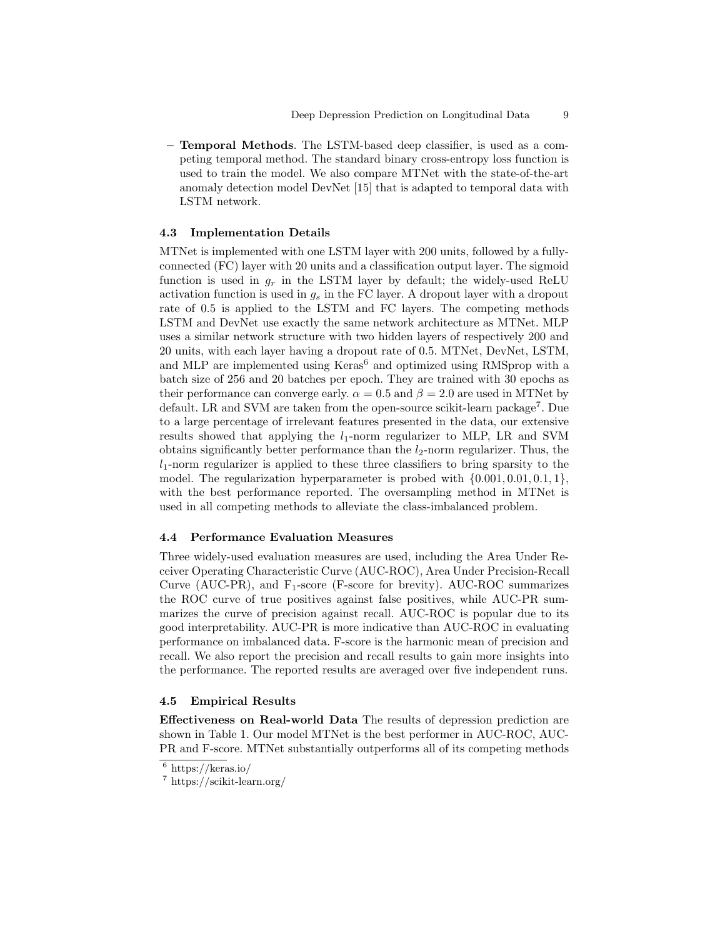– Temporal Methods. The LSTM-based deep classifier, is used as a competing temporal method. The standard binary cross-entropy loss function is used to train the model. We also compare MTNet with the state-of-the-art anomaly detection model DevNet [\[15\]](#page-11-12) that is adapted to temporal data with LSTM network.

### 4.3 Implementation Details

MTNet is implemented with one LSTM layer with 200 units, followed by a fullyconnected (FC) layer with 20 units and a classification output layer. The sigmoid function is used in  $g_r$  in the LSTM layer by default; the widely-used ReLU activation function is used in  $g_s$  in the FC layer. A dropout layer with a dropout rate of 0.5 is applied to the LSTM and FC layers. The competing methods LSTM and DevNet use exactly the same network architecture as MTNet. MLP uses a similar network structure with two hidden layers of respectively 200 and 20 units, with each layer having a dropout rate of 0.5. MTNet, DevNet, LSTM, and MLP are implemented using  $Keras<sup>6</sup>$  $Keras<sup>6</sup>$  $Keras<sup>6</sup>$  and optimized using RMSprop with a batch size of 256 and 20 batches per epoch. They are trained with 30 epochs as their performance can converge early.  $\alpha = 0.5$  and  $\beta = 2.0$  are used in MTNet by default. LR and SVM are taken from the open-source scikit-learn package<sup>[7](#page-8-1)</sup>. Due to a large percentage of irrelevant features presented in the data, our extensive results showed that applying the  $l_1$ -norm regularizer to MLP, LR and SVM obtains significantly better performance than the  $l_2$ -norm regularizer. Thus, the  $l_1$ -norm regularizer is applied to these three classifiers to bring sparsity to the model. The regularization hyperparameter is probed with  $\{0.001, 0.01, 0.1, 1\}$ , with the best performance reported. The oversampling method in MTNet is used in all competing methods to alleviate the class-imbalanced problem.

### 4.4 Performance Evaluation Measures

Three widely-used evaluation measures are used, including the Area Under Receiver Operating Characteristic Curve (AUC-ROC), Area Under Precision-Recall Curve (AUC-PR), and  $F_1$ -score (F-score for brevity). AUC-ROC summarizes the ROC curve of true positives against false positives, while AUC-PR summarizes the curve of precision against recall. AUC-ROC is popular due to its good interpretability. AUC-PR is more indicative than AUC-ROC in evaluating performance on imbalanced data. F-score is the harmonic mean of precision and recall. We also report the precision and recall results to gain more insights into the performance. The reported results are averaged over five independent runs.

#### 4.5 Empirical Results

Effectiveness on Real-world Data The results of depression prediction are shown in Table [1.](#page-9-0) Our model MTNet is the best performer in AUC-ROC, AUC-PR and F-score. MTNet substantially outperforms all of its competing methods

<span id="page-8-0"></span> $6$  https://keras.io/

<span id="page-8-1"></span><sup>7</sup> https://scikit-learn.org/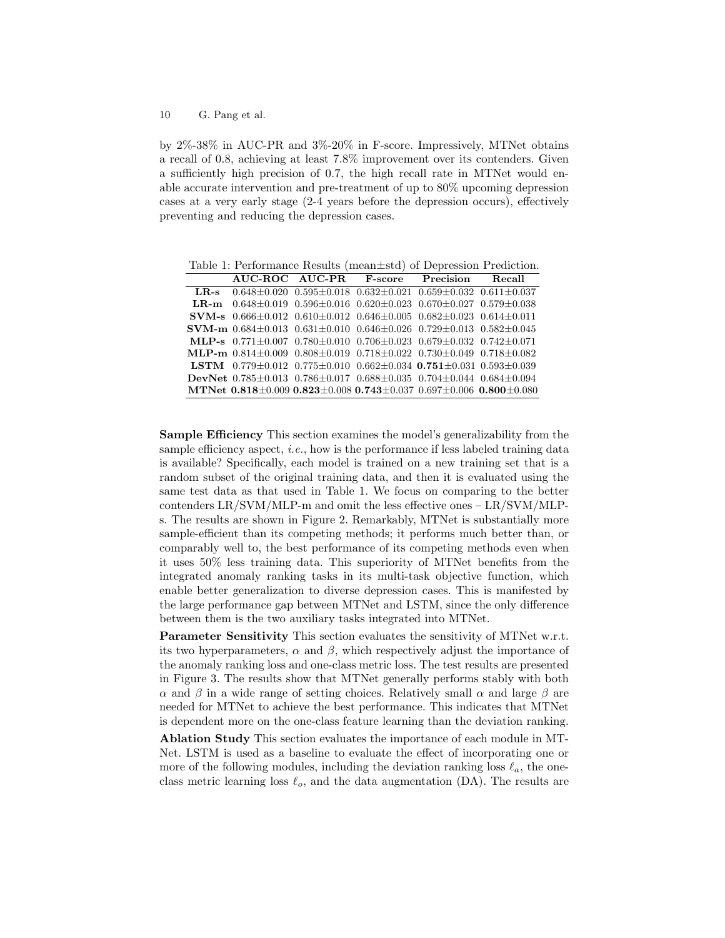by 2%-38% in AUC-PR and 3%-20% in F-score. Impressively, MTNet obtains a recall of 0.8, achieving at least 7.8% improvement over its contenders. Given a sufficiently high precision of 0.7, the high recall rate in MTNet would enable accurate intervention and pre-treatment of up to 80% upcoming depression cases at a very early stage (2-4 years before the depression occurs), effectively preventing and reducing the depression cases.

<span id="page-9-0"></span>Table 1: Performance Results (mean±std) of Depression Prediction.

|                                                                                                              |  | AUC-ROC AUC-PR. F-score Precision Recall |                                                                                                 |  |
|--------------------------------------------------------------------------------------------------------------|--|------------------------------------------|-------------------------------------------------------------------------------------------------|--|
| <b>LR-s</b> $0.648\pm0.020$ $0.595\pm0.018$ $0.632\pm0.021$ $0.659\pm0.032$ $0.611\pm0.037$                  |  |                                          |                                                                                                 |  |
| <b>LR-m</b> $0.648 \pm 0.019$ $0.596 \pm 0.016$ $0.620 \pm 0.023$ $0.670 \pm 0.027$ $0.579 \pm 0.038$        |  |                                          |                                                                                                 |  |
| <b>SVM-s</b> $0.666 \pm 0.012$ $0.610 \pm 0.012$ $0.646 \pm 0.005$ $0.682 \pm 0.023$ $0.614 \pm 0.011$       |  |                                          |                                                                                                 |  |
| <b>SVM-m</b> $0.684 \pm 0.013$ $0.631 \pm 0.010$ $0.646 \pm 0.026$ $0.729 \pm 0.013$ $0.582 \pm 0.045$       |  |                                          |                                                                                                 |  |
| <b>MLP-s</b> $0.771 \pm 0.007$ $0.780 \pm 0.010$ $0.706 \pm 0.023$ $0.679 \pm 0.032$ $0.742 \pm 0.071$       |  |                                          |                                                                                                 |  |
| <b>MLP-m</b> $0.814 \pm 0.009$ $0.808 \pm 0.019$ $0.718 \pm 0.022$ $0.730 \pm 0.049$ $0.718 \pm 0.082$       |  |                                          |                                                                                                 |  |
| <b>LSTM</b> $0.779 \pm 0.012$ $0.775 \pm 0.010$ $0.662 \pm 0.034$ <b>0.751</b> $\pm 0.031$ $0.593 \pm 0.039$ |  |                                          |                                                                                                 |  |
| <b>DevNet</b> $0.785 \pm 0.013$ $0.786 \pm 0.017$ $0.688 \pm 0.035$ $0.704 \pm 0.044$ $0.684 \pm 0.094$      |  |                                          |                                                                                                 |  |
|                                                                                                              |  |                                          | MTNet $0.818 \pm 0.009$ $0.823 \pm 0.008$ $0.743 \pm 0.037$ $0.697 \pm 0.006$ $0.800 \pm 0.080$ |  |

Sample Efficiency This section examines the model's generalizability from the sample efficiency aspect, *i.e.*, how is the performance if less labeled training data is available? Specifically, each model is trained on a new training set that is a random subset of the original training data, and then it is evaluated using the same test data as that used in Table [1.](#page-9-0) We focus on comparing to the better contenders LR/SVM/MLP-m and omit the less effective ones – LR/SVM/MLPs. The results are shown in Figure [2.](#page-10-0) Remarkably, MTNet is substantially more sample-efficient than its competing methods; it performs much better than, or comparably well to, the best performance of its competing methods even when it uses 50% less training data. This superiority of MTNet benefits from the integrated anomaly ranking tasks in its multi-task objective function, which enable better generalization to diverse depression cases. This is manifested by the large performance gap between MTNet and LSTM, since the only difference between them is the two auxiliary tasks integrated into MTNet.

Parameter Sensitivity This section evaluates the sensitivity of MTNet w.r.t. its two hyperparameters,  $\alpha$  and  $\beta$ , which respectively adjust the importance of the anomaly ranking loss and one-class metric loss. The test results are presented in Figure [3.](#page-10-0) The results show that MTNet generally performs stably with both α and β in a wide range of setting choices. Relatively small α and large β are needed for MTNet to achieve the best performance. This indicates that MTNet is dependent more on the one-class feature learning than the deviation ranking.

Ablation Study This section evaluates the importance of each module in MT-Net. LSTM is used as a baseline to evaluate the effect of incorporating one or more of the following modules, including the deviation ranking loss  $\ell_a$ , the oneclass metric learning loss  $\ell_o$ , and the data augmentation (DA). The results are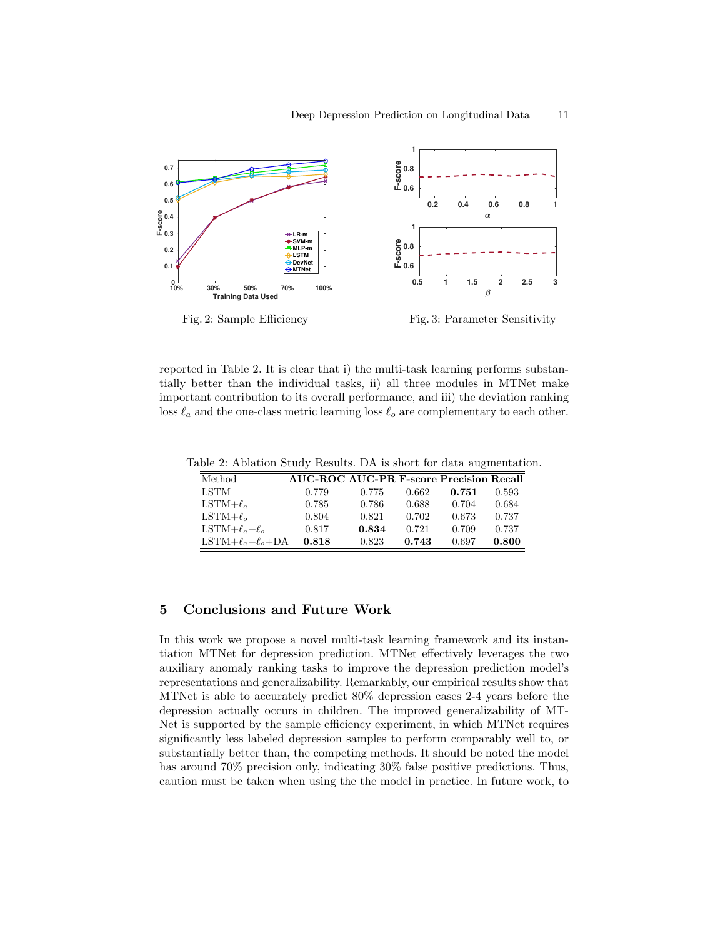<span id="page-10-0"></span>

Fig. 2: Sample Efficiency



reported in Table [2.](#page-10-1) It is clear that i) the multi-task learning performs substantially better than the individual tasks, ii) all three modules in MTNet make important contribution to its overall performance, and iii) the deviation ranking loss  $\ell_a$  and the one-class metric learning loss  $\ell_o$  are complementary to each other.

<span id="page-10-1"></span>Table 2: Ablation Study Results. DA is short for data augmentation.

| Method                  | <b>AUC-ROC AUC-PR F-score Precision Recall</b> |       |       |       |       |
|-------------------------|------------------------------------------------|-------|-------|-------|-------|
| LSTM                    | 0.779                                          | 0.775 | 0.662 | 0.751 | 0.593 |
| $LSTM+ \ell_a$          | 0.785                                          | 0.786 | 0.688 | 0.704 | 0.684 |
| $LSTM+lo$               | 0.804                                          | 0.821 | 0.702 | 0.673 | 0.737 |
| $LSTM+\ell_a+\ell_a$    | 0.817                                          | 0.834 | 0.721 | 0.709 | 0.737 |
| $LSTM+\ell_a+\ell_o+DA$ | 0.818                                          | 0.823 | 0.743 | 0.697 | 0.800 |

### 5 Conclusions and Future Work

In this work we propose a novel multi-task learning framework and its instantiation MTNet for depression prediction. MTNet effectively leverages the two auxiliary anomaly ranking tasks to improve the depression prediction model's representations and generalizability. Remarkably, our empirical results show that MTNet is able to accurately predict 80% depression cases 2-4 years before the depression actually occurs in children. The improved generalizability of MT-Net is supported by the sample efficiency experiment, in which MTNet requires significantly less labeled depression samples to perform comparably well to, or substantially better than, the competing methods. It should be noted the model has around 70% precision only, indicating 30% false positive predictions. Thus, caution must be taken when using the the model in practice. In future work, to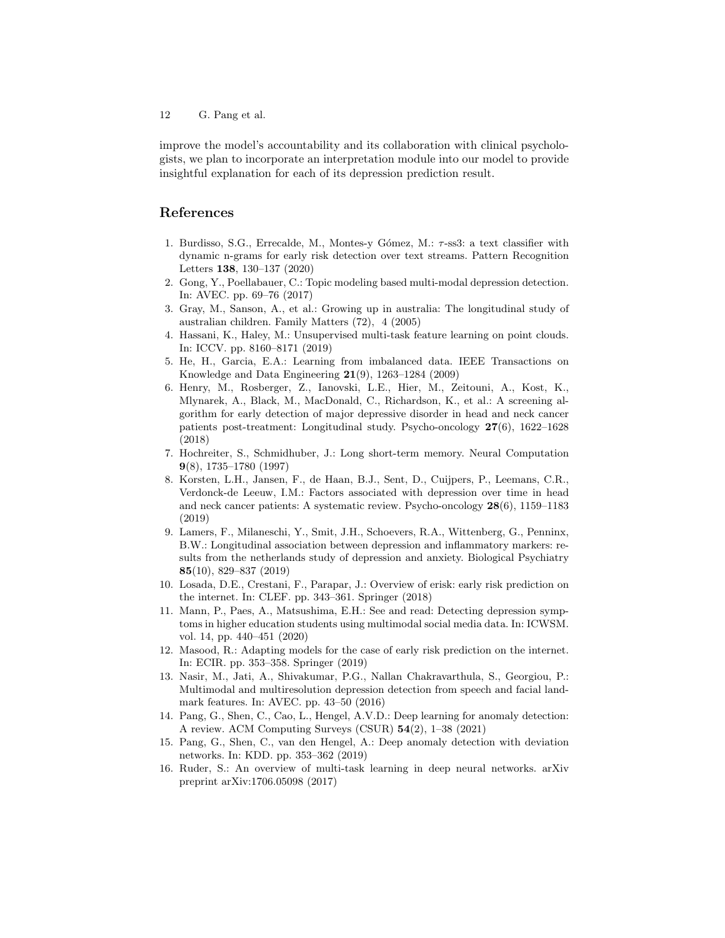improve the model's accountability and its collaboration with clinical psychologists, we plan to incorporate an interpretation module into our model to provide insightful explanation for each of its depression prediction result.

# References

- <span id="page-11-7"></span>1. Burdisso, S.G., Errecalde, M., Montes-y Gómez, M.:  $\tau$ -ss3: a text classifier with dynamic n-grams for early risk detection over text streams. Pattern Recognition Letters 138, 130–137 (2020)
- <span id="page-11-1"></span>2. Gong, Y., Poellabauer, C.: Topic modeling based multi-modal depression detection. In: AVEC. pp. 69–76 (2017)
- <span id="page-11-15"></span>3. Gray, M., Sanson, A., et al.: Growing up in australia: The longitudinal study of australian children. Family Matters (72), 4 (2005)
- <span id="page-11-10"></span>4. Hassani, K., Haley, M.: Unsupervised multi-task feature learning on point clouds. In: ICCV. pp. 8160–8171 (2019)
- <span id="page-11-14"></span>5. He, H., Garcia, E.A.: Learning from imbalanced data. IEEE Transactions on Knowledge and Data Engineering 21(9), 1263–1284 (2009)
- <span id="page-11-3"></span>6. Henry, M., Rosberger, Z., Ianovski, L.E., Hier, M., Zeitouni, A., Kost, K., Mlynarek, A., Black, M., MacDonald, C., Richardson, K., et al.: A screening algorithm for early detection of major depressive disorder in head and neck cancer patients post-treatment: Longitudinal study. Psycho-oncology 27(6), 1622–1628 (2018)
- <span id="page-11-13"></span>7. Hochreiter, S., Schmidhuber, J.: Long short-term memory. Neural Computation 9(8), 1735–1780 (1997)
- <span id="page-11-4"></span>8. Korsten, L.H., Jansen, F., de Haan, B.J., Sent, D., Cuijpers, P., Leemans, C.R., Verdonck-de Leeuw, I.M.: Factors associated with depression over time in head and neck cancer patients: A systematic review. Psycho-oncology 28(6), 1159–1183 (2019)
- <span id="page-11-0"></span>9. Lamers, F., Milaneschi, Y., Smit, J.H., Schoevers, R.A., Wittenberg, G., Penninx, B.W.: Longitudinal association between depression and inflammatory markers: results from the netherlands study of depression and anxiety. Biological Psychiatry 85(10), 829–837 (2019)
- <span id="page-11-6"></span>10. Losada, D.E., Crestani, F., Parapar, J.: Overview of erisk: early risk prediction on the internet. In: CLEF. pp. 343–361. Springer (2018)
- <span id="page-11-5"></span>11. Mann, P., Paes, A., Matsushima, E.H.: See and read: Detecting depression symptoms in higher education students using multimodal social media data. In: ICWSM. vol. 14, pp. 440–451 (2020)
- <span id="page-11-8"></span>12. Masood, R.: Adapting models for the case of early risk prediction on the internet. In: ECIR. pp. 353–358. Springer (2019)
- <span id="page-11-2"></span>13. Nasir, M., Jati, A., Shivakumar, P.G., Nallan Chakravarthula, S., Georgiou, P.: Multimodal and multiresolution depression detection from speech and facial landmark features. In: AVEC. pp. 43–50 (2016)
- <span id="page-11-11"></span>14. Pang, G., Shen, C., Cao, L., Hengel, A.V.D.: Deep learning for anomaly detection: A review. ACM Computing Surveys (CSUR) 54(2), 1–38 (2021)
- <span id="page-11-12"></span>15. Pang, G., Shen, C., van den Hengel, A.: Deep anomaly detection with deviation networks. In: KDD. pp. 353–362 (2019)
- <span id="page-11-9"></span>16. Ruder, S.: An overview of multi-task learning in deep neural networks. arXiv preprint arXiv:1706.05098 (2017)